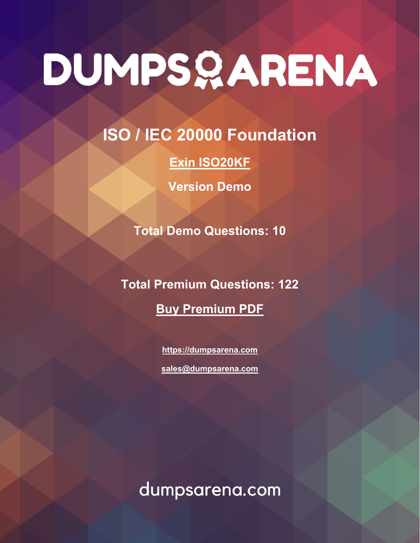**ISO / IEC 20000 Foundation**

**[Exin ISO20KF](https://dumpsarena.com/exam/iso20kf/)**

**Version Demo**

**Total Demo Questions: 10**

**Total Premium Questions: 122 [Buy Premium PDF](https://dumpsarena.com/exam/iso20kf/)**

> **[https://dumpsarena.com](https://dumpsarena.com/) [sales@dumpsarena.com](mailto:sales@dumpsarena.com)**

dumpsarena.com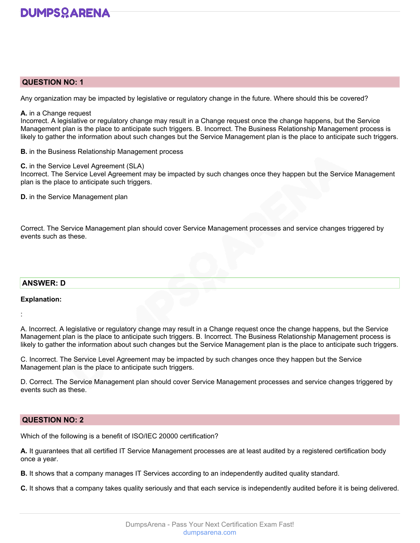

#### **QUESTION NO: 1**

Any organization may be impacted by legislative or regulatory change in the future. Where should this be covered?

#### **A.** in a Change request

Incorrect. A legislative or regulatory change may result in a Change request once the change happens, but the Service Management plan is the place to anticipate such triggers. B. Incorrect. The Business Relationship Management process is likely to gather the information about such changes but the Service Management plan is the place to anticipate such triggers.

**B.** in the Business Relationship Management process

#### **C.** in the Service Level Agreement (SLA)

Incorrect. The Service Level Agreement may be impacted by such changes once they happen but the Service Management plan is the place to anticipate such triggers.

**D.** in the Service Management plan

Correct. The Service Management plan should cover Service Management processes and service changes triggered by events such as these.

# **ANSWER: D**

#### **Explanation:**

:

A. Incorrect. A legislative or regulatory change may result in a Change request once the change happens, but the Service Management plan is the place to anticipate such triggers. B. Incorrect. The Business Relationship Management process is likely to gather the information about such changes but the Service Management plan is the place to anticipate such triggers.

C. Incorrect. The Service Level Agreement may be impacted by such changes once they happen but the Service Management plan is the place to anticipate such triggers.

D. Correct. The Service Management plan should cover Service Management processes and service changes triggered by events such as these.

# **QUESTION NO: 2**

Which of the following is a benefit of ISO/IEC 20000 certification?

**A.** It guarantees that all certified IT Service Management processes are at least audited by a registered certification body once a year.

**B.** It shows that a company manages IT Services according to an independently audited quality standard.

**C.** It shows that a company takes quality seriously and that each service is independently audited before it is being delivered.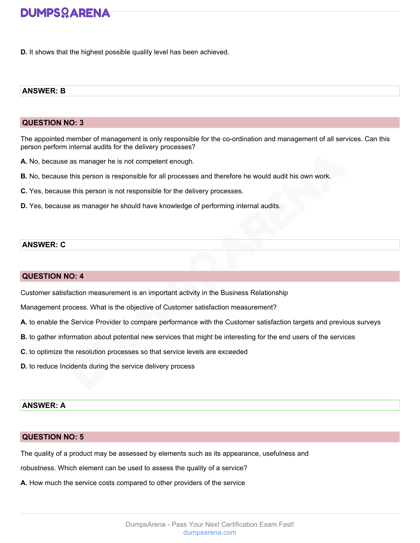**D.** It shows that the highest possible quality level has been achieved.

#### **ANSWER: B**

#### **QUESTION NO: 3**

The appointed member of management is only responsible for the co-ordination and management of all services. Can this person perform internal audits for the delivery processes?

**A.** No, because as manager he is not competent enough.

- **B.** No, because this person is responsible for all processes and therefore he would audit his own work.
- **C.** Yes, because this person is not responsible for the delivery processes.
- **D.** Yes, because as manager he should have knowledge of performing internal audits.

#### **ANSWER: C**

# **QUESTION NO: 4**

Customer satisfaction measurement is an important activity in the Business Relationship

Management process. What is the objective of Customer satisfaction measurement?

- **A.** to enable the Service Provider to compare performance with the Customer satisfaction targets and previous surveys
- **B.** to gather information about potential new services that might be interesting for the end users of the services
- **C.** to optimize the resolution processes so that service levels are exceeded
- **D.** to reduce Incidents during the service delivery process

# **ANSWER: A**

#### **QUESTION NO: 5**

The quality of a product may be assessed by elements such as its appearance, usefulness and

robustness. Which element can be used to assess the quality of a service?

**A.** How much the service costs compared to other providers of the service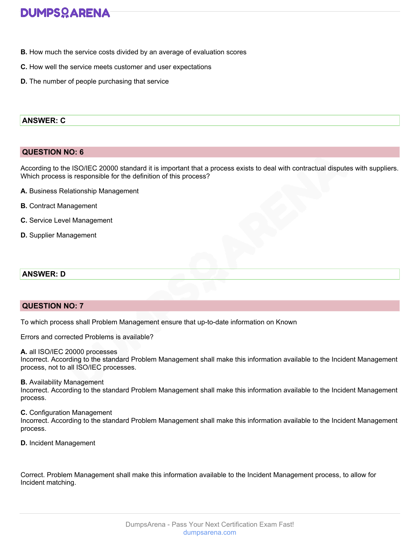- **B.** How much the service costs divided by an average of evaluation scores
- **C.** How well the service meets customer and user expectations
- **D.** The number of people purchasing that service

### **ANSWER: C**

#### **QUESTION NO: 6**

According to the ISO/IEC 20000 standard it is important that a process exists to deal with contractual disputes with suppliers. Which process is responsible for the definition of this process?

- **A.** Business Relationship Management
- **B.** Contract Management
- **C.** Service Level Management
- **D.** Supplier Management

#### **ANSWER: D**

# **QUESTION NO: 7**

To which process shall Problem Management ensure that up-to-date information on Known

Errors and corrected Problems is available?

#### **A.** all ISO/IEC 20000 processes

Incorrect. According to the standard Problem Management shall make this information available to the Incident Management process, not to all ISO/IEC processes.

#### **B.** Availability Management

Incorrect. According to the standard Problem Management shall make this information available to the Incident Management process.

**C.** Configuration Management

Incorrect. According to the standard Problem Management shall make this information available to the Incident Management process.

**D.** Incident Management

Correct. Problem Management shall make this information available to the Incident Management process, to allow for Incident matching.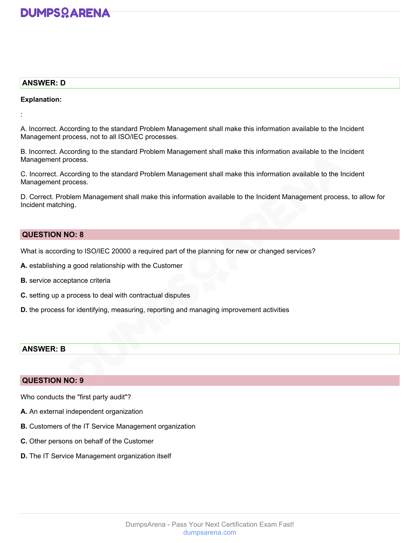# **ANSWER: D**

#### **Explanation:**

:

A. Incorrect. According to the standard Problem Management shall make this information available to the Incident Management process, not to all ISO/IEC processes.

B. Incorrect. According to the standard Problem Management shall make this information available to the Incident Management process.

C. Incorrect. According to the standard Problem Management shall make this information available to the Incident Management process.

D. Correct. Problem Management shall make this information available to the Incident Management process, to allow for Incident matching.

# **QUESTION NO: 8**

What is according to ISO/IEC 20000 a required part of the planning for new or changed services?

- **A.** establishing a good relationship with the Customer
- **B.** service acceptance criteria
- **C.** setting up a process to deal with contractual disputes
- **D.** the process for identifying, measuring, reporting and managing improvement activities

# **ANSWER: B**

# **QUESTION NO: 9**

Who conducts the "first party audit"?

- **A.** An external independent organization
- **B.** Customers of the IT Service Management organization
- **C.** Other persons on behalf of the Customer
- **D.** The IT Service Management organization itself